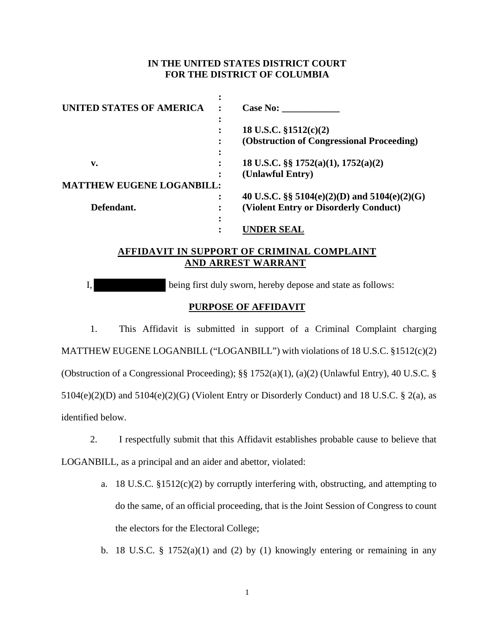## **IN THE UNITED STATES DISTRICT COURT FOR THE DISTRICT OF COLUMBIA**

| <b>UNITED STATES OF AMERICA</b>  |   | <b>Case No:</b>                              |
|----------------------------------|---|----------------------------------------------|
|                                  |   |                                              |
|                                  |   | 18 U.S.C. $$1512(c)(2)$                      |
|                                  |   | (Obstruction of Congressional Proceeding)    |
|                                  | ٠ |                                              |
| v.                               |   | 18 U.S.C. $\S$ $1752(a)(1)$ , $1752(a)(2)$   |
|                                  |   | (Unlawful Entry)                             |
| <b>MATTHEW EUGENE LOGANBILL:</b> |   |                                              |
|                                  | : | 40 U.S.C. §§ 5104(e)(2)(D) and 5104(e)(2)(G) |
| Defendant.                       |   | (Violent Entry or Disorderly Conduct)        |
|                                  | ٠ |                                              |
|                                  |   | <b>JNDER SEAL</b>                            |

# **AFFIDAVIT IN SUPPORT OF CRIMINAL COMPLAINT AND ARREST WARRANT**

I, being first duly sworn, hereby depose and state as follows:

## **PURPOSE OF AFFIDAVIT**

1. This Affidavit is submitted in support of a Criminal Complaint charging MATTHEW EUGENE LOGANBILL ("LOGANBILL") with violations of 18 U.S.C. §1512(c)(2) (Obstruction of a Congressional Proceeding); §§ 1752(a)(1), (a)(2) (Unlawful Entry), 40 U.S.C. §  $5104(e)(2)(D)$  and  $5104(e)(2)(G)$  (Violent Entry or Disorderly Conduct) and 18 U.S.C. § 2(a), as identified below.

2. I respectfully submit that this Affidavit establishes probable cause to believe that LOGANBILL, as a principal and an aider and abettor, violated:

- a. 18 U.S.C. §1512(c)(2) by corruptly interfering with, obstructing, and attempting to do the same, of an official proceeding, that is the Joint Session of Congress to count the electors for the Electoral College;
- b. 18 U.S.C.  $\S$  1752(a)(1) and (2) by (1) knowingly entering or remaining in any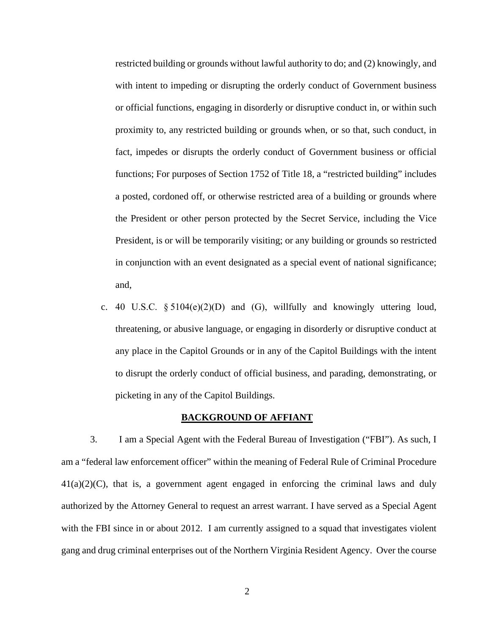restricted building or grounds without lawful authority to do; and (2) knowingly, and with intent to impeding or disrupting the orderly conduct of Government business or official functions, engaging in disorderly or disruptive conduct in, or within such proximity to, any restricted building or grounds when, or so that, such conduct, in fact, impedes or disrupts the orderly conduct of Government business or official functions; For purposes of Section 1752 of Title 18, a "restricted building" includes a posted, cordoned off, or otherwise restricted area of a building or grounds where the President or other person protected by the Secret Service, including the Vice President, is or will be temporarily visiting; or any building or grounds so restricted in conjunction with an event designated as a special event of national significance; and,

c. 40 U.S.C. § 5104(e)(2)(D) and (G), willfully and knowingly uttering loud, threatening, or abusive language, or engaging in disorderly or disruptive conduct at any place in the Capitol Grounds or in any of the Capitol Buildings with the intent to disrupt the orderly conduct of official business, and parading, demonstrating, or picketing in any of the Capitol Buildings.

#### **BACKGROUND OF AFFIANT**

3. I am a Special Agent with the Federal Bureau of Investigation ("FBI"). As such, I am a "federal law enforcement officer" within the meaning of Federal Rule of Criminal Procedure  $41(a)(2)(C)$ , that is, a government agent engaged in enforcing the criminal laws and duly authorized by the Attorney General to request an arrest warrant. I have served as a Special Agent with the FBI since in or about 2012. I am currently assigned to a squad that investigates violent gang and drug criminal enterprises out of the Northern Virginia Resident Agency. Over the course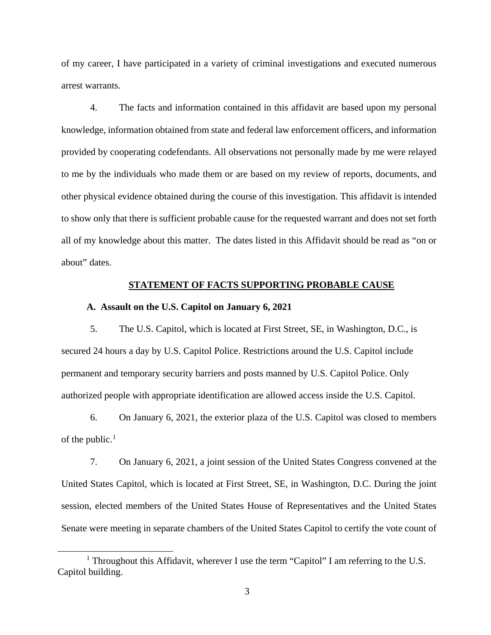of my career, I have participated in a variety of criminal investigations and executed numerous arrest warrants.

4. The facts and information contained in this affidavit are based upon my personal knowledge, information obtained from state and federal law enforcement officers, and information provided by cooperating codefendants. All observations not personally made by me were relayed to me by the individuals who made them or are based on my review of reports, documents, and other physical evidence obtained during the course of this investigation. This affidavit is intended to show only that there is sufficient probable cause for the requested warrant and does not set forth all of my knowledge about this matter. The dates listed in this Affidavit should be read as "on or about" dates.

### **STATEMENT OF FACTS SUPPORTING PROBABLE CAUSE**

#### **A. Assault on the U.S. Capitol on January 6, 2021**

5. The U.S. Capitol, which is located at First Street, SE, in Washington, D.C., is secured 24 hours a day by U.S. Capitol Police. Restrictions around the U.S. Capitol include permanent and temporary security barriers and posts manned by U.S. Capitol Police. Only authorized people with appropriate identification are allowed access inside the U.S. Capitol.

6. On January 6, 2021, the exterior plaza of the U.S. Capitol was closed to members of the public. $<sup>1</sup>$ </sup>

7. On January 6, 2021, a joint session of the United States Congress convened at the United States Capitol, which is located at First Street, SE, in Washington, D.C. During the joint session, elected members of the United States House of Representatives and the United States Senate were meeting in separate chambers of the United States Capitol to certify the vote count of

 $\overline{\phantom{a}}$ <sup>1</sup> Throughout this Affidavit, wherever I use the term "Capitol" I am referring to the U.S. Capitol building.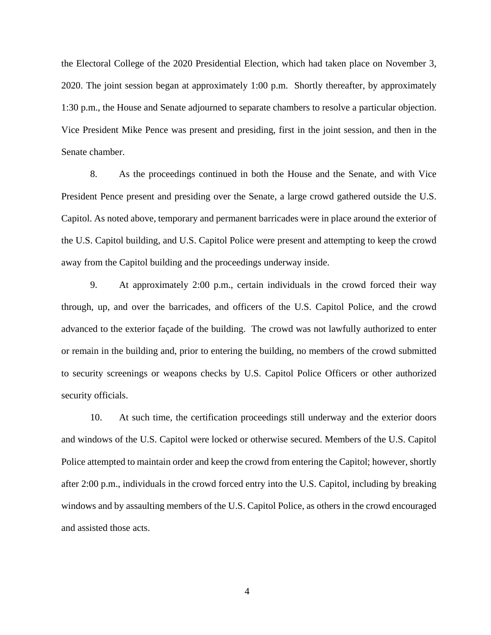the Electoral College of the 2020 Presidential Election, which had taken place on November 3, 2020. The joint session began at approximately 1:00 p.m. Shortly thereafter, by approximately 1:30 p.m., the House and Senate adjourned to separate chambers to resolve a particular objection. Vice President Mike Pence was present and presiding, first in the joint session, and then in the Senate chamber.

8. As the proceedings continued in both the House and the Senate, and with Vice President Pence present and presiding over the Senate, a large crowd gathered outside the U.S. Capitol. As noted above, temporary and permanent barricades were in place around the exterior of the U.S. Capitol building, and U.S. Capitol Police were present and attempting to keep the crowd away from the Capitol building and the proceedings underway inside.

9. At approximately 2:00 p.m., certain individuals in the crowd forced their way through, up, and over the barricades, and officers of the U.S. Capitol Police, and the crowd advanced to the exterior façade of the building. The crowd was not lawfully authorized to enter or remain in the building and, prior to entering the building, no members of the crowd submitted to security screenings or weapons checks by U.S. Capitol Police Officers or other authorized security officials.

10. At such time, the certification proceedings still underway and the exterior doors and windows of the U.S. Capitol were locked or otherwise secured. Members of the U.S. Capitol Police attempted to maintain order and keep the crowd from entering the Capitol; however, shortly after 2:00 p.m., individuals in the crowd forced entry into the U.S. Capitol, including by breaking windows and by assaulting members of the U.S. Capitol Police, as others in the crowd encouraged and assisted those acts.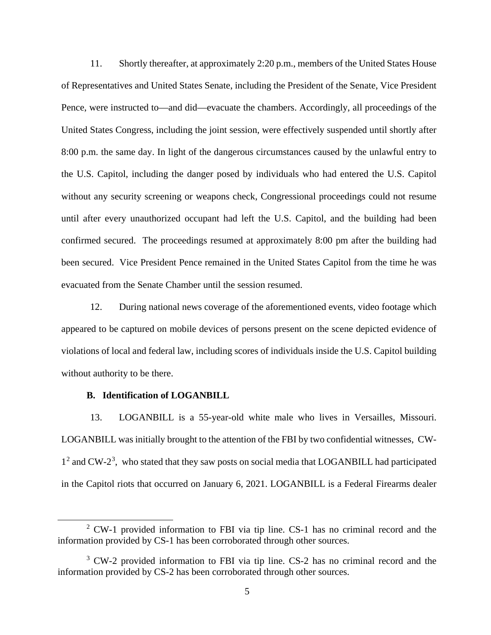11. Shortly thereafter, at approximately 2:20 p.m., members of the United States House of Representatives and United States Senate, including the President of the Senate, Vice President Pence, were instructed to—and did—evacuate the chambers. Accordingly, all proceedings of the United States Congress, including the joint session, were effectively suspended until shortly after 8:00 p.m. the same day. In light of the dangerous circumstances caused by the unlawful entry to the U.S. Capitol, including the danger posed by individuals who had entered the U.S. Capitol without any security screening or weapons check, Congressional proceedings could not resume until after every unauthorized occupant had left the U.S. Capitol, and the building had been confirmed secured. The proceedings resumed at approximately 8:00 pm after the building had been secured. Vice President Pence remained in the United States Capitol from the time he was evacuated from the Senate Chamber until the session resumed.

12. During national news coverage of the aforementioned events, video footage which appeared to be captured on mobile devices of persons present on the scene depicted evidence of violations of local and federal law, including scores of individuals inside the U.S. Capitol building without authority to be there.

### **B. Identification of LOGANBILL**

13. LOGANBILL is a 55-year-old white male who lives in Versailles, Missouri. LOGANBILL was initially brought to the attention of the FBI by two confidential witnesses, CW-1<sup>2</sup> and CW-2<sup>3</sup>, who stated that they saw posts on social media that LOGANBILL had participated in the Capitol riots that occurred on January 6, 2021. LOGANBILL is a Federal Firearms dealer

 <sup>2</sup> <sup>2</sup> CW-1 provided information to FBI via tip line. CS-1 has no criminal record and the information provided by CS-1 has been corroborated through other sources.

<sup>&</sup>lt;sup>3</sup> CW-2 provided information to FBI via tip line. CS-2 has no criminal record and the information provided by CS-2 has been corroborated through other sources.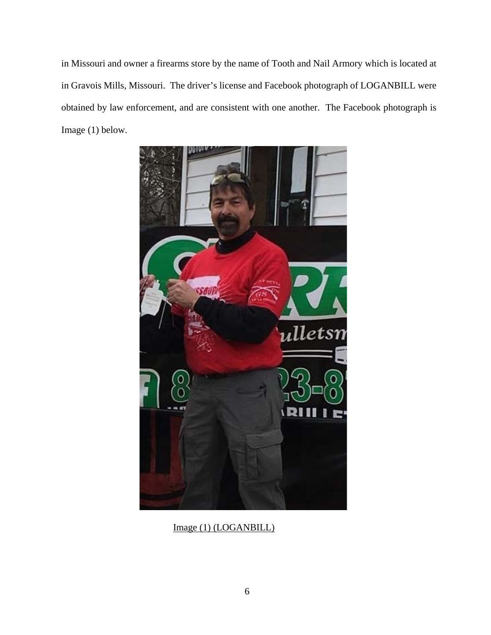in Missouri and owner a firearms store by the name of Tooth and Nail Armory which is located at in Gravois Mills, Missouri. The driver's license and Facebook photograph of LOGANBILL were obtained by law enforcement, and are consistent with one another. The Facebook photograph is Image (1) below.



Image (1) (LOGANBILL)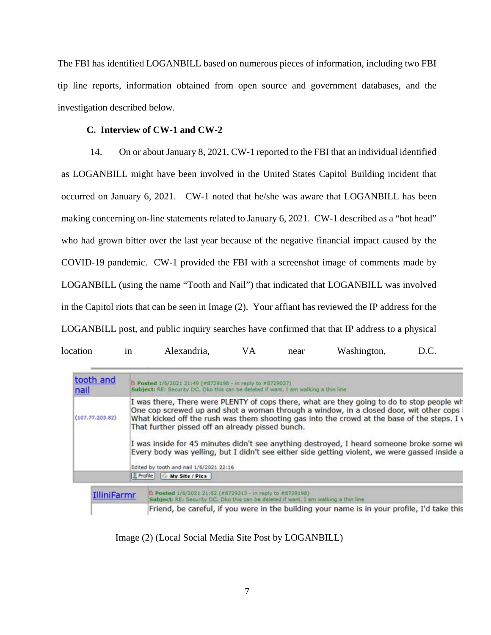The FBI has identified LOGANBILL based on numerous pieces of information, including two FBI tip line reports, information obtained from open source and government databases, and the investigation described below.

## **C. Interview of CW-1 and CW-2**

14. On or about January 8, 2021, CW-1 reported to the FBI that an individual identified as LOGANBILL might have been involved in the United States Capitol Building incident that occurred on January 6, 2021. CW-1 noted that he/she was aware that LOGANBILL has been making concerning on-line statements related to January 6, 2021. CW-1 described as a "hot head" who had grown bitter over the last year because of the negative financial impact caused by the COVID-19 pandemic. CW-1 provided the FBI with a screenshot image of comments made by LOGANBILL (using the name "Tooth and Nail") that indicated that LOGANBILL was involved in the Capitol riots that can be seen in Image (2). Your affiant has reviewed the IP address for the LOGANBILL post, and public inquiry searches have confirmed that that IP address to a physical location in Alexandria, VA near Washington, D.C.

| tooth and<br>nail | Posted 1/6/2021 21:49 (#8729198 - in reply to #8729027)<br>Subject: RE: Security DC. Dko this can be deleted if want. I am walking a thin line                                                                                                                                                                                         |
|-------------------|----------------------------------------------------------------------------------------------------------------------------------------------------------------------------------------------------------------------------------------------------------------------------------------------------------------------------------------|
| (107.77.203.82)   | I was there, There were PLENTY of cops there, what are they going to do to stop people wh<br>One cop screwed up and shot a woman through a window, in a closed door, wit other cops<br>What kicked off the rush was them shooting gas into the crowd at the base of the steps. I v<br>That further pissed off an already pissed bunch. |
|                   | I was inside for 45 minutes didn't see anything destroyed, I heard someone broke some wi<br>Every body was yelling, but I didn't see either side getting violent, we were gassed inside a<br>Edited by tooth and nail 1/6/2021 22:16                                                                                                   |
|                   | Profile My Site / Pics                                                                                                                                                                                                                                                                                                                 |

| <b>IlliniFarmr</b> | <b>D</b> Posted 1/6/2021 21:52 (#8729213 - in reply to #8729198)<br>Subject: RE: Security DC. Dko this can be deleted if want. I am walking a thin line |
|--------------------|---------------------------------------------------------------------------------------------------------------------------------------------------------|
|                    | Friend, be careful, if you were in the building your name is in your profile, I'd take this                                                             |

Image (2) (Local Social Media Site Post by LOGANBILL)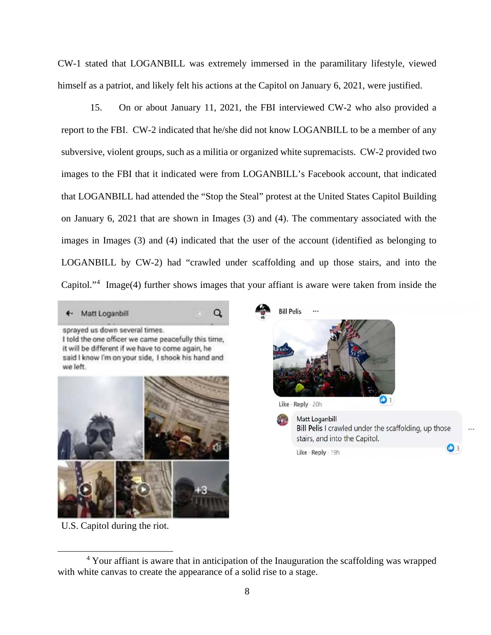CW-1 stated that LOGANBILL was extremely immersed in the paramilitary lifestyle, viewed himself as a patriot, and likely felt his actions at the Capitol on January 6, 2021, were justified.

15. On or about January 11, 2021, the FBI interviewed CW-2 who also provided a report to the FBI. CW-2 indicated that he/she did not know LOGANBILL to be a member of any subversive, violent groups, such as a militia or organized white supremacists. CW-2 provided two images to the FBI that it indicated were from LOGANBILL's Facebook account, that indicated that LOGANBILL had attended the "Stop the Steal" protest at the United States Capitol Building on January 6, 2021 that are shown in Images (3) and (4). The commentary associated with the images in Images (3) and (4) indicated that the user of the account (identified as belonging to LOGANBILL by CW-2) had "crawled under scaffolding and up those stairs, and into the Capitol."<sup>4</sup> Image(4) further shows images that your affiant is aware were taken from inside the

Q

sprayed us down several times. I told the one officer we came peacefully this time, it will be different if we have to come again, he said I know I'm on your side, I shook his hand and we left.

Matt Loganbill



**Bill Pelis** Like · Reply · 20h Matt Loganbill



Like · Reply · 19h

U.S. Capitol during the riot.

<sup>&</sup>lt;sup>4</sup> Your affiant is aware that in anticipation of the Inauguration the scaffolding was wrapped with white canvas to create the appearance of a solid rise to a stage.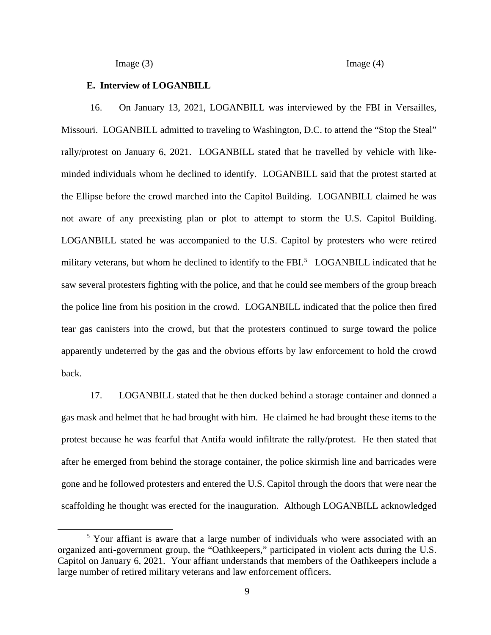### **E. Interview of LOGANBILL**

16. On January 13, 2021, LOGANBILL was interviewed by the FBI in Versailles, Missouri. LOGANBILL admitted to traveling to Washington, D.C. to attend the "Stop the Steal" rally/protest on January 6, 2021. LOGANBILL stated that he travelled by vehicle with likeminded individuals whom he declined to identify. LOGANBILL said that the protest started at the Ellipse before the crowd marched into the Capitol Building. LOGANBILL claimed he was not aware of any preexisting plan or plot to attempt to storm the U.S. Capitol Building. LOGANBILL stated he was accompanied to the U.S. Capitol by protesters who were retired military veterans, but whom he declined to identify to the FBI.<sup>5</sup> LOGANBILL indicated that he saw several protesters fighting with the police, and that he could see members of the group breach the police line from his position in the crowd. LOGANBILL indicated that the police then fired tear gas canisters into the crowd, but that the protesters continued to surge toward the police apparently undeterred by the gas and the obvious efforts by law enforcement to hold the crowd back.

17. LOGANBILL stated that he then ducked behind a storage container and donned a gas mask and helmet that he had brought with him. He claimed he had brought these items to the protest because he was fearful that Antifa would infiltrate the rally/protest. He then stated that after he emerged from behind the storage container, the police skirmish line and barricades were gone and he followed protesters and entered the U.S. Capitol through the doors that were near the scaffolding he thought was erected for the inauguration. Although LOGANBILL acknowledged

<sup>&</sup>lt;sup>5</sup> Your affiant is aware that a large number of individuals who were associated with an organized anti-government group, the "Oathkeepers," participated in violent acts during the U.S. Capitol on January 6, 2021. Your affiant understands that members of the Oathkeepers include a large number of retired military veterans and law enforcement officers.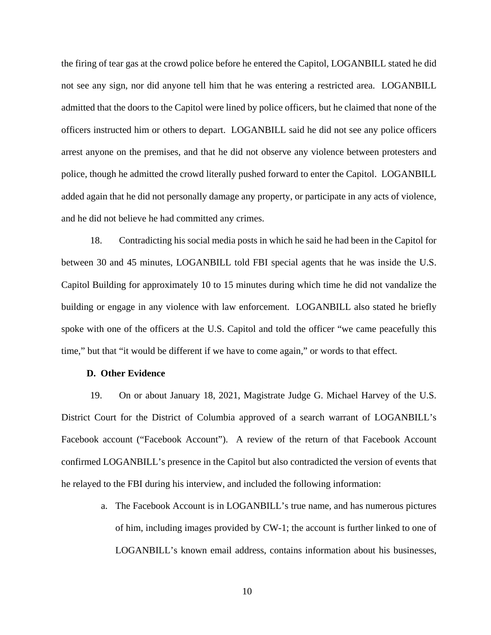the firing of tear gas at the crowd police before he entered the Capitol, LOGANBILL stated he did not see any sign, nor did anyone tell him that he was entering a restricted area. LOGANBILL admitted that the doors to the Capitol were lined by police officers, but he claimed that none of the officers instructed him or others to depart. LOGANBILL said he did not see any police officers arrest anyone on the premises, and that he did not observe any violence between protesters and police, though he admitted the crowd literally pushed forward to enter the Capitol. LOGANBILL added again that he did not personally damage any property, or participate in any acts of violence, and he did not believe he had committed any crimes.

18. Contradicting his social media posts in which he said he had been in the Capitol for between 30 and 45 minutes, LOGANBILL told FBI special agents that he was inside the U.S. Capitol Building for approximately 10 to 15 minutes during which time he did not vandalize the building or engage in any violence with law enforcement. LOGANBILL also stated he briefly spoke with one of the officers at the U.S. Capitol and told the officer "we came peacefully this time," but that "it would be different if we have to come again," or words to that effect.

### **D. Other Evidence**

19. On or about January 18, 2021, Magistrate Judge G. Michael Harvey of the U.S. District Court for the District of Columbia approved of a search warrant of LOGANBILL's Facebook account ("Facebook Account"). A review of the return of that Facebook Account confirmed LOGANBILL's presence in the Capitol but also contradicted the version of events that he relayed to the FBI during his interview, and included the following information:

> a. The Facebook Account is in LOGANBILL's true name, and has numerous pictures of him, including images provided by CW-1; the account is further linked to one of LOGANBILL's known email address, contains information about his businesses,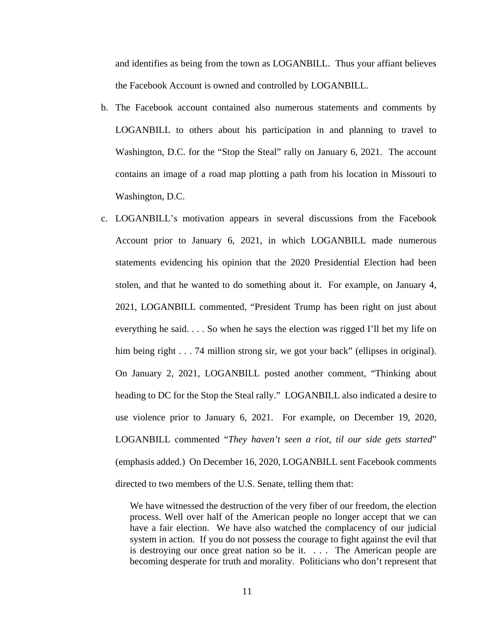and identifies as being from the town as LOGANBILL. Thus your affiant believes the Facebook Account is owned and controlled by LOGANBILL.

- b. The Facebook account contained also numerous statements and comments by LOGANBILL to others about his participation in and planning to travel to Washington, D.C. for the "Stop the Steal" rally on January 6, 2021. The account contains an image of a road map plotting a path from his location in Missouri to Washington, D.C.
- c. LOGANBILL's motivation appears in several discussions from the Facebook Account prior to January 6, 2021, in which LOGANBILL made numerous statements evidencing his opinion that the 2020 Presidential Election had been stolen, and that he wanted to do something about it. For example, on January 4, 2021, LOGANBILL commented, "President Trump has been right on just about everything he said. . . . So when he says the election was rigged I'll bet my life on him being right . . . 74 million strong sir, we got your back" (ellipses in original). On January 2, 2021, LOGANBILL posted another comment, "Thinking about heading to DC for the Stop the Steal rally." LOGANBILL also indicated a desire to use violence prior to January 6, 2021. For example, on December 19, 2020, LOGANBILL commented "*They haven't seen a riot, til our side gets started*" (emphasis added.) On December 16, 2020, LOGANBILL sent Facebook comments directed to two members of the U.S. Senate, telling them that:

We have witnessed the destruction of the very fiber of our freedom, the election process. Well over half of the American people no longer accept that we can have a fair election. We have also watched the complacency of our judicial system in action. If you do not possess the courage to fight against the evil that is destroying our once great nation so be it. . . . The American people are becoming desperate for truth and morality. Politicians who don't represent that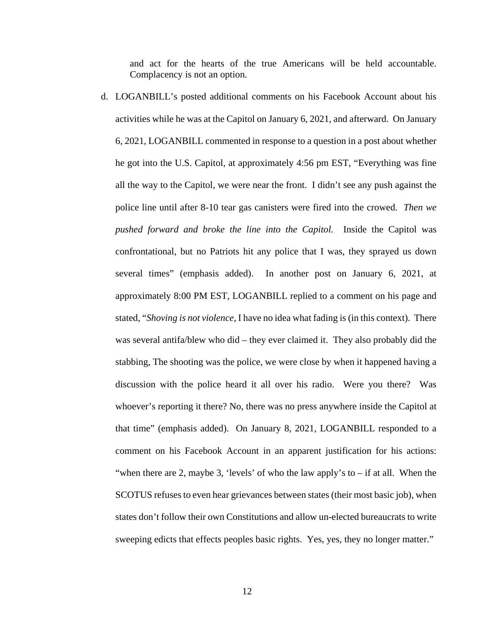and act for the hearts of the true Americans will be held accountable. Complacency is not an option.

d. LOGANBILL's posted additional comments on his Facebook Account about his activities while he was at the Capitol on January 6, 2021, and afterward. On January 6, 2021, LOGANBILL commented in response to a question in a post about whether he got into the U.S. Capitol, at approximately 4:56 pm EST, "Everything was fine all the way to the Capitol, we were near the front. I didn't see any push against the police line until after 8-10 tear gas canisters were fired into the crowed. *Then we pushed forward and broke the line into the Capitol.* Inside the Capitol was confrontational, but no Patriots hit any police that I was, they sprayed us down several times" (emphasis added). In another post on January 6, 2021, at approximately 8:00 PM EST, LOGANBILL replied to a comment on his page and stated, "*Shoving is not violence*, I have no idea what fading is (in this context). There was several antifa/blew who did – they ever claimed it. They also probably did the stabbing, The shooting was the police, we were close by when it happened having a discussion with the police heard it all over his radio. Were you there? Was whoever's reporting it there? No, there was no press anywhere inside the Capitol at that time" (emphasis added). On January 8, 2021, LOGANBILL responded to a comment on his Facebook Account in an apparent justification for his actions: "when there are 2, maybe 3, 'levels' of who the law apply's to  $-$  if at all. When the SCOTUS refuses to even hear grievances between states (their most basic job), when states don't follow their own Constitutions and allow un-elected bureaucrats to write sweeping edicts that effects peoples basic rights. Yes, yes, they no longer matter."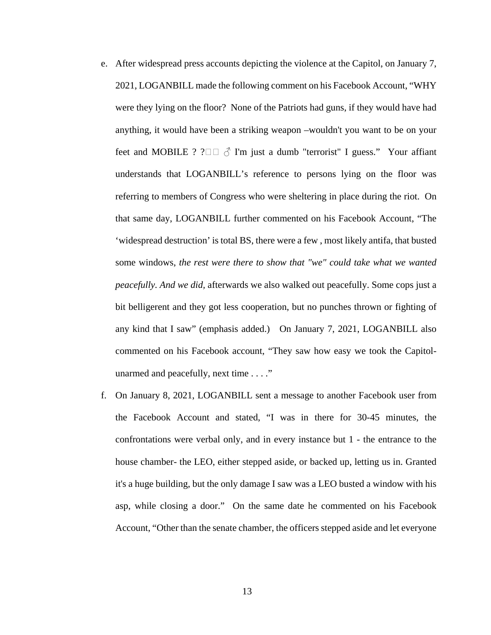- e. After widespread press accounts depicting the violence at the Capitol, on January 7, 2021, LOGANBILL made the following comment on his Facebook Account, "WHY were they lying on the floor? None of the Patriots had guns, if they would have had anything, it would have been a striking weapon –wouldn't you want to be on your feet and MOBILE ? ? $\square \square \triangle$  I'm just a dumb "terrorist" I guess." Your affiant understands that LOGANBILL's reference to persons lying on the floor was referring to members of Congress who were sheltering in place during the riot. On that same day, LOGANBILL further commented on his Facebook Account, "The 'widespread destruction' is total BS, there were a few , most likely antifa, that busted some windows, *the rest were there to show that "we" could take what we wanted peacefully. And we did,* afterwards we also walked out peacefully. Some cops just a bit belligerent and they got less cooperation, but no punches thrown or fighting of any kind that I saw" (emphasis added.) On January 7, 2021, LOGANBILL also commented on his Facebook account, "They saw how easy we took the Capitolunarmed and peacefully, next time . . . ."
- f. On January 8, 2021, LOGANBILL sent a message to another Facebook user from the Facebook Account and stated, "I was in there for 30-45 minutes, the confrontations were verbal only, and in every instance but 1 - the entrance to the house chamber- the LEO, either stepped aside, or backed up, letting us in. Granted it's a huge building, but the only damage I saw was a LEO busted a window with his asp, while closing a door." On the same date he commented on his Facebook Account, "Other than the senate chamber, the officers stepped aside and let everyone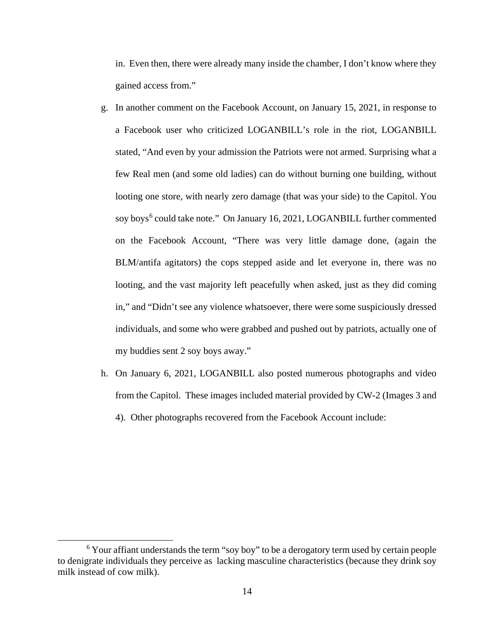in. Even then, there were already many inside the chamber, I don't know where they gained access from."

- g. In another comment on the Facebook Account, on January 15, 2021, in response to a Facebook user who criticized LOGANBILL's role in the riot, LOGANBILL stated, "And even by your admission the Patriots were not armed. Surprising what a few Real men (and some old ladies) can do without burning one building, without looting one store, with nearly zero damage (that was your side) to the Capitol. You soy boys<sup>6</sup> could take note." On January 16, 2021, LOGANBILL further commented on the Facebook Account, "There was very little damage done, (again the BLM/antifa agitators) the cops stepped aside and let everyone in, there was no looting, and the vast majority left peacefully when asked, just as they did coming in," and "Didn't see any violence whatsoever, there were some suspiciously dressed individuals, and some who were grabbed and pushed out by patriots, actually one of my buddies sent 2 soy boys away."
- h. On January 6, 2021, LOGANBILL also posted numerous photographs and video from the Capitol. These images included material provided by CW-2 (Images 3 and 4). Other photographs recovered from the Facebook Account include:

<sup>&</sup>lt;sup>6</sup> Your affiant understands the term "soy boy" to be a derogatory term used by certain people to denigrate individuals they perceive as lacking masculine characteristics (because they drink soy milk instead of cow milk).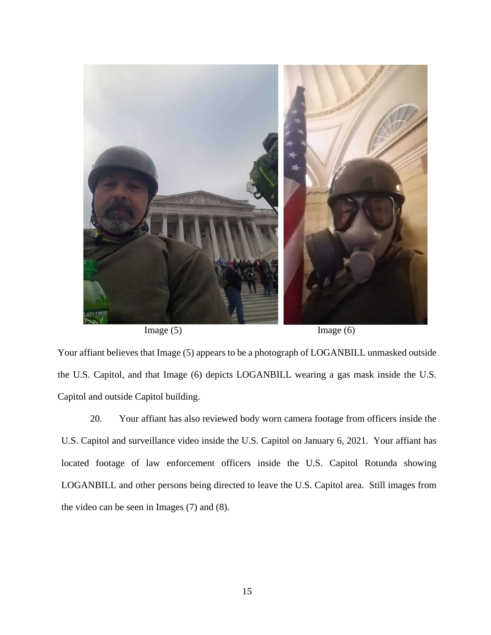



Your affiant believes that Image (5) appears to be a photograph of LOGANBILL unmasked outside the U.S. Capitol, and that Image (6) depicts LOGANBILL wearing a gas mask inside the U.S. Capitol and outside Capitol building.

20. Your affiant has also reviewed body worn camera footage from officers inside the U.S. Capitol and surveillance video inside the U.S. Capitol on January 6, 2021. Your affiant has located footage of law enforcement officers inside the U.S. Capitol Rotunda showing LOGANBILL and other persons being directed to leave the U.S. Capitol area. Still images from the video can be seen in Images (7) and (8).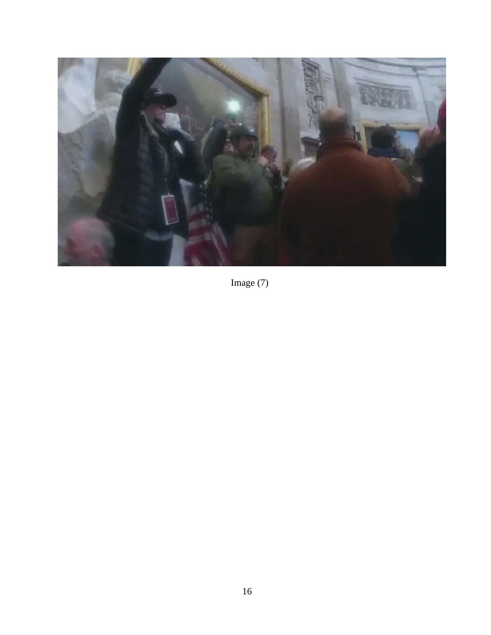

Image (7)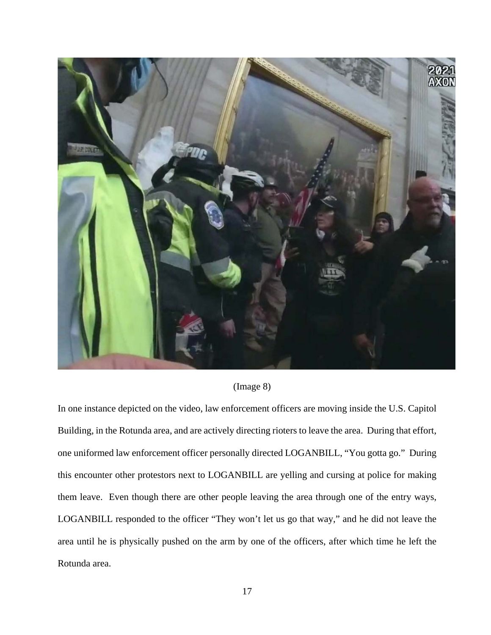

(Image 8)

In one instance depicted on the video, law enforcement officers are moving inside the U.S. Capitol Building, in the Rotunda area, and are actively directing rioters to leave the area. During that effort, one uniformed law enforcement officer personally directed LOGANBILL, "You gotta go." During this encounter other protestors next to LOGANBILL are yelling and cursing at police for making them leave. Even though there are other people leaving the area through one of the entry ways, LOGANBILL responded to the officer "They won't let us go that way," and he did not leave the area until he is physically pushed on the arm by one of the officers, after which time he left the Rotunda area.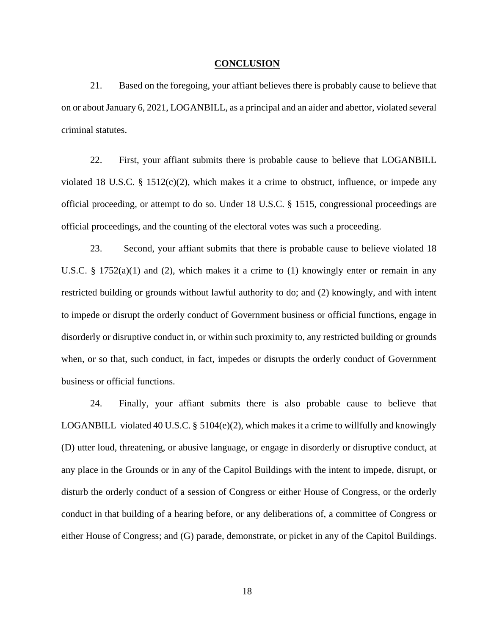#### **CONCLUSION**

21. Based on the foregoing, your affiant believes there is probably cause to believe that on or about January 6, 2021, LOGANBILL, as a principal and an aider and abettor, violated several criminal statutes.

22. First, your affiant submits there is probable cause to believe that LOGANBILL violated 18 U.S.C. § 1512(c)(2), which makes it a crime to obstruct, influence, or impede any official proceeding, or attempt to do so. Under 18 U.S.C. § 1515, congressional proceedings are official proceedings, and the counting of the electoral votes was such a proceeding.

23. Second, your affiant submits that there is probable cause to believe violated 18 U.S.C. § 1752(a)(1) and (2), which makes it a crime to (1) knowingly enter or remain in any restricted building or grounds without lawful authority to do; and (2) knowingly, and with intent to impede or disrupt the orderly conduct of Government business or official functions, engage in disorderly or disruptive conduct in, or within such proximity to, any restricted building or grounds when, or so that, such conduct, in fact, impedes or disrupts the orderly conduct of Government business or official functions.

24. Finally, your affiant submits there is also probable cause to believe that LOGANBILL violated 40 U.S.C. § 5104(e)(2), which makes it a crime to willfully and knowingly (D) utter loud, threatening, or abusive language, or engage in disorderly or disruptive conduct, at any place in the Grounds or in any of the Capitol Buildings with the intent to impede, disrupt, or disturb the orderly conduct of a session of Congress or either House of Congress, or the orderly conduct in that building of a hearing before, or any deliberations of, a committee of Congress or either House of Congress; and (G) parade, demonstrate, or picket in any of the Capitol Buildings.